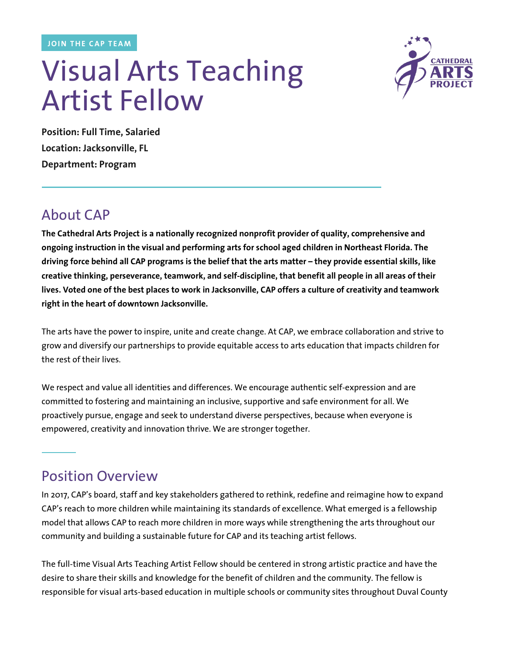**JOIN THE CAP TEAM**

# Visual Arts Teaching Artist Fellow



**Position: Full Time, Salaried Location: Jacksonville, FL Department: Program**

## About CAP

**The Cathedral Arts Project is a nationally recognized nonprofit provider of quality, comprehensive and ongoing instruction in the visual and performing arts for school aged children in Northeast Florida. The driving force behind all CAP programs is the belief that the arts matter – they provide essential skills, like creative thinking, perseverance, teamwork, and self-discipline, that benefit all people in all areas of their lives. Voted one of the best places to work in Jacksonville, CAP offers a culture of creativity and teamwork right in the heart of downtown Jacksonville.**

The arts have the power to inspire, unite and create change. At CAP, we embrace collaboration and strive to grow and diversify our partnerships to provide equitable access to arts education that impacts children for the rest of their lives.

We respect and value all identities and differences. We encourage authentic self-expression and are committed to fostering and maintaining an inclusive, supportive and safe environment for all. We proactively pursue, engage and seek to understand diverse perspectives, because when everyone is empowered, creativity and innovation thrive. We are stronger together.

## Position Overview

In 2017, CAP's board, staff and key stakeholders gathered to rethink, redefine and reimagine how to expand CAP's reach to more children while maintaining its standards of excellence. What emerged is a fellowship model that allows CAP to reach more children in more ways while strengthening the arts throughout our community and building a sustainable future for CAP and its teaching artist fellows.

The full-time Visual Arts Teaching Artist Fellow should be centered in strong artistic practice and have the desire to share their skills and knowledge for the benefit of children and the community. The fellow is responsible for visual arts-based education in multiple schools or community sites throughout Duval County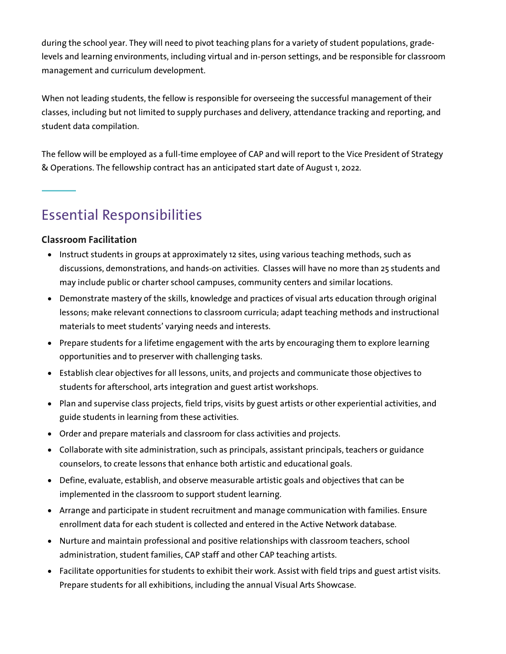during the school year. They will need to pivot teaching plans for a variety of student populations, gradelevels and learning environments, including virtual and in-person settings, and be responsible for classroom management and curriculum development.

When not leading students, the fellow is responsible for overseeing the successful management of their classes, including but not limited to supply purchases and delivery, attendance tracking and reporting, and student data compilation.

The fellow will be employed as a full-time employee of CAP and will report to the Vice President of Strategy & Operations. The fellowship contract has an anticipated start date of August 1, 2022.

# Essential Responsibilities

#### **Classroom Facilitation**

- Instruct students in groups at approximately 12 sites, using various teaching methods, such as discussions, demonstrations, and hands-on activities. Classes will have no more than 25 students and may include public or charter school campuses, community centers and similar locations.
- Demonstrate mastery of the skills, knowledge and practices of visual arts education through original lessons; make relevant connections to classroom curricula; adapt teaching methods and instructional materials to meet students' varying needs and interests.
- Prepare students for a lifetime engagement with the arts by encouraging them to explore learning opportunities and to preserver with challenging tasks.
- Establish clear objectives for all lessons, units, and projects and communicate those objectives to students for afterschool, arts integration and guest artist workshops.
- Plan and supervise class projects, field trips, visits by guest artists or other experiential activities, and guide students in learning from these activities.
- Order and prepare materials and classroom for class activities and projects.
- Collaborate with site administration, such as principals, assistant principals, teachers or guidance counselors, to create lessons that enhance both artistic and educational goals.
- Define, evaluate, establish, and observe measurable artistic goals and objectives that can be implemented in the classroom to support student learning.
- Arrange and participate in student recruitment and manage communication with families. Ensure enrollment data for each student is collected and entered in the Active Network database.
- Nurture and maintain professional and positive relationships with classroom teachers, school administration, student families, CAP staff and other CAP teaching artists.
- Facilitate opportunities for students to exhibit their work. Assist with field trips and guest artist visits. Prepare students for all exhibitions, including the annual Visual Arts Showcase.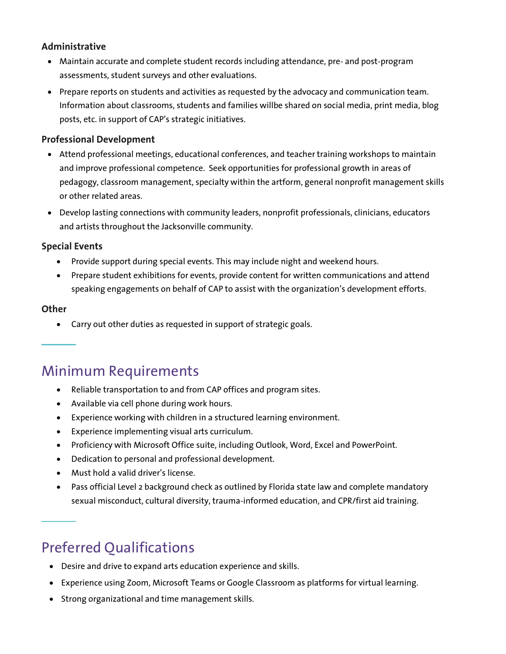#### **Administrative**

- Maintain accurate and complete student records including attendance, pre- and post-program assessments, student surveys and other evaluations.
- Prepare reports on students and activities as requested by the advocacy and communication team. Information about classrooms, students and families willbe shared on social media, print media, blog posts, etc. in support of CAP's strategic initiatives.

#### **Professional Development**

- Attend professional meetings, educational conferences, and teacher training workshops to maintain and improve professional competence. Seek opportunities for professional growth in areas of pedagogy, classroom management, specialty within the artform, general nonprofit management skills or other related areas.
- Develop lasting connections with community leaders, nonprofit professionals, clinicians, educators and artists throughout the Jacksonville community.

#### **Special Events**

- Provide support during special events. This may include night and weekend hours.
- Prepare student exhibitions for events, provide content for written communications and attend speaking engagements on behalf of CAP to assist with the organization's development efforts.

#### **Other**

• Carry out other duties as requested in support of strategic goals.

## Minimum Requirements

- Reliable transportation to and from CAP offices and program sites.
- Available via cell phone during work hours.
- Experience working with children in a structured learning environment.
- Experience implementing visual arts curriculum.
- Proficiency with Microsoft Office suite, including Outlook, Word, Excel and PowerPoint.
- Dedication to personal and professional development.
- Must hold a valid driver's license.
- Pass official Level 2 background check as outlined by Florida state law and complete mandatory sexual misconduct, cultural diversity, trauma-informed education, and CPR/first aid training.

# Preferred Qualifications

- Desire and drive to expand arts education experience and skills.
- Experience using Zoom, Microsoft Teams or Google Classroom as platforms for virtual learning.
- Strong organizational and time management skills.